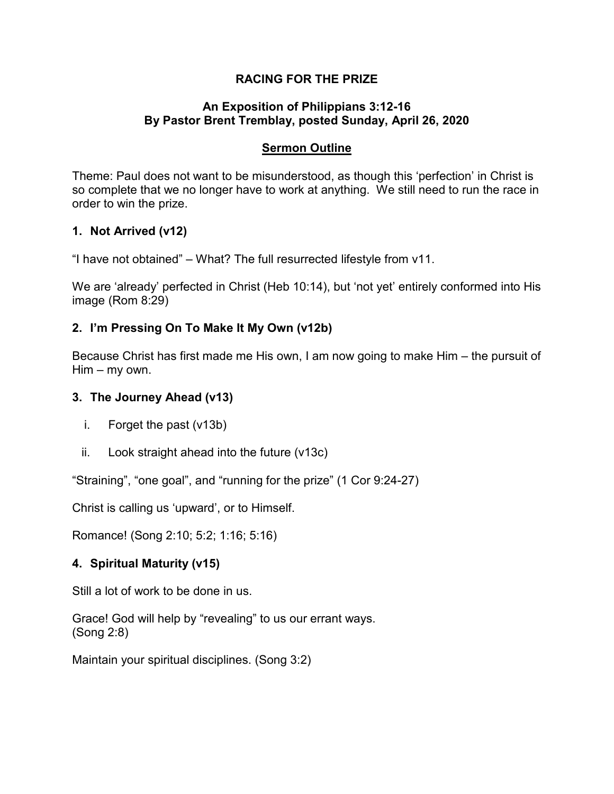# **RACING FOR THE PRIZE**

### **An Exposition of Philippians 3:12-16 By Pastor Brent Tremblay, posted Sunday, April 26, 2020**

# **Sermon Outline**

Theme: Paul does not want to be misunderstood, as though this 'perfection' in Christ is so complete that we no longer have to work at anything. We still need to run the race in order to win the prize.

# **1. Not Arrived (v12)**

"I have not obtained" – What? The full resurrected lifestyle from v11.

We are 'already' perfected in Christ (Heb 10:14), but 'not yet' entirely conformed into His image (Rom 8:29)

# **2. I'm Pressing On To Make It My Own (v12b)**

Because Christ has first made me His own, I am now going to make Him – the pursuit of Him – my own.

#### **3. The Journey Ahead (v13)**

- i. Forget the past (v13b)
- ii. Look straight ahead into the future (v13c)

"Straining", "one goal", and "running for the prize" (1 Cor 9:24-27)

Christ is calling us 'upward', or to Himself.

Romance! (Song 2:10; 5:2; 1:16; 5:16)

#### **4. Spiritual Maturity (v15)**

Still a lot of work to be done in us.

Grace! God will help by "revealing" to us our errant ways. (Song 2:8)

Maintain your spiritual disciplines. (Song 3:2)